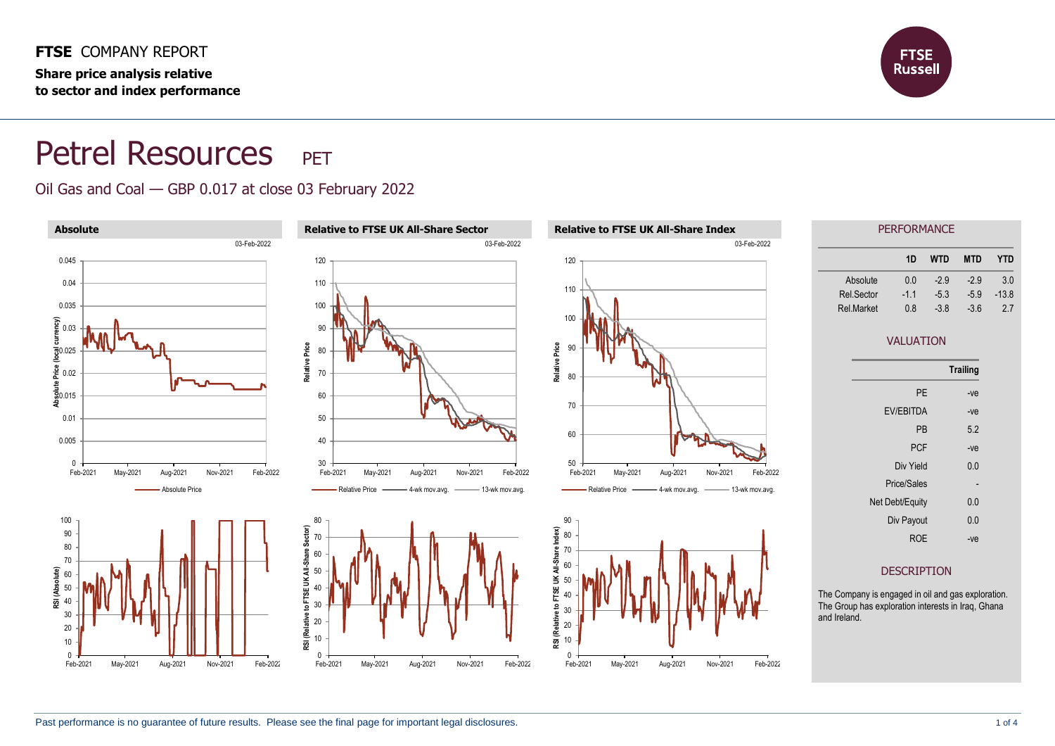**Share price analysis relative to sector and index performance**



## Petrel Resources PET

## Oil Gas and Coal — GBP 0.017 at close 03 February 2022

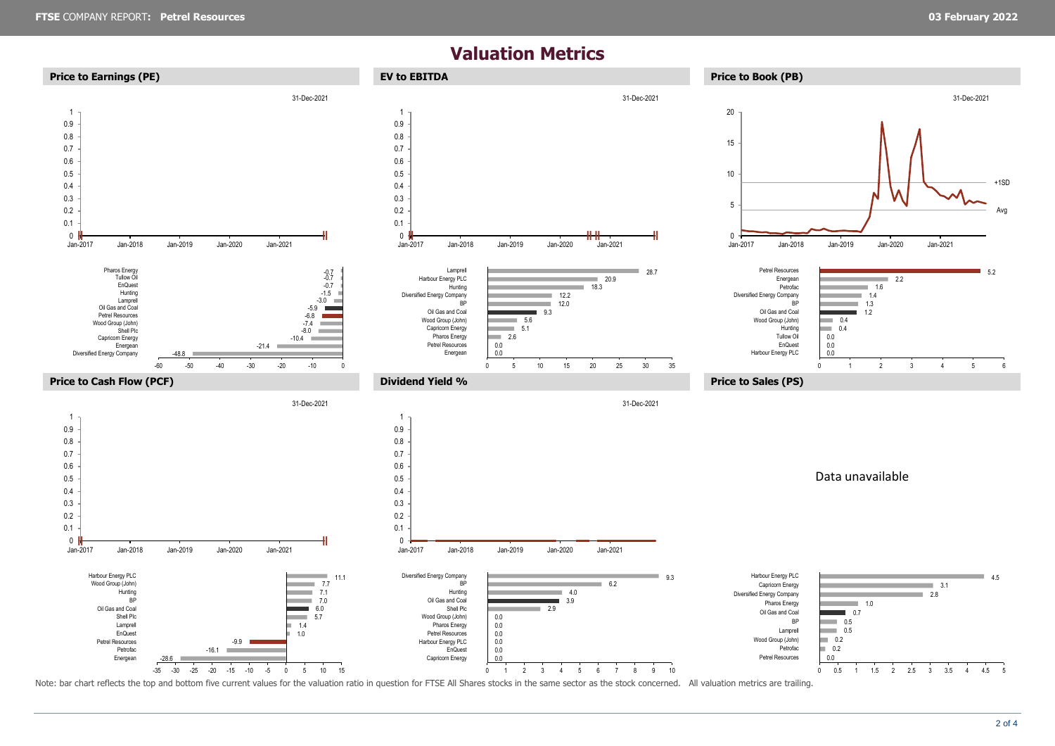## **Valuation Metrics**



Note: bar chart reflects the top and bottom five current values for the valuation ratio in question for FTSE All Shares stocks in the same sector as the stock concerned. All valuation metrics are trailing.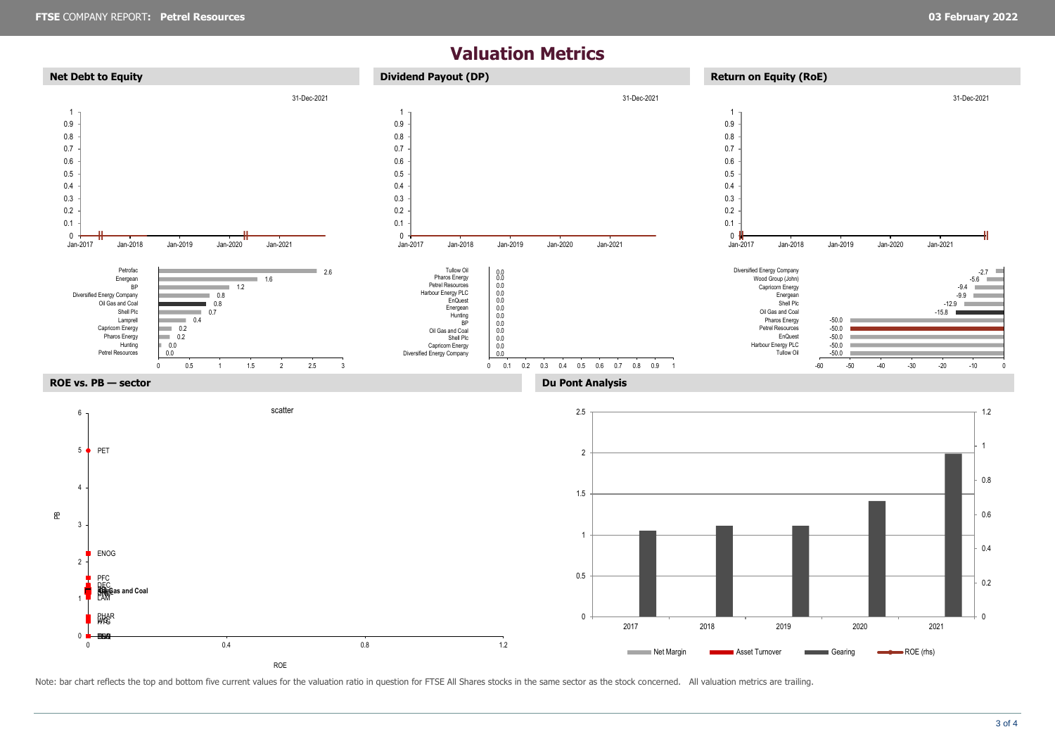## **Valuation Metrics**



Note: bar chart reflects the top and bottom five current values for the valuation ratio in question for FTSE All Shares stocks in the same sector as the stock concerned. All valuation metrics are trailing.